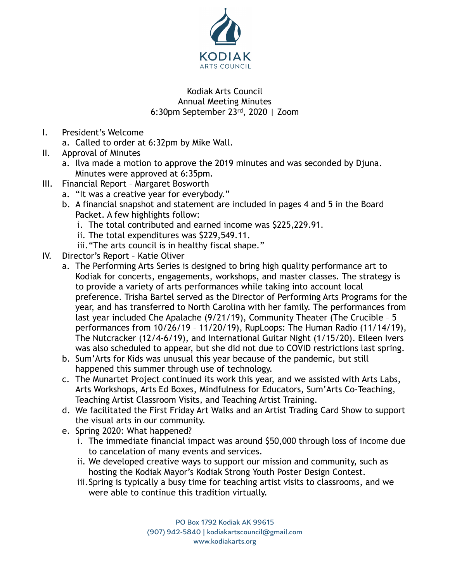

## Kodiak Arts Council Annual Meeting Minutes 6:30pm September 23rd, 2020 | Zoom

- I. President's Welcome
	- a. Called to order at 6:32pm by Mike Wall.
- II. Approval of Minutes
	- a. Ilva made a motion to approve the 2019 minutes and was seconded by Djuna. Minutes were approved at 6:35pm.
- III. Financial Report Margaret Bosworth
	- a. "It was a creative year for everybody."
	- b. A financial snapshot and statement are included in pages 4 and 5 in the Board Packet. A few highlights follow:
		- i. The total contributed and earned income was \$225,229.91.
		- ii. The total expenditures was \$229,549.11.
		- iii."The arts council is in healthy fiscal shape."
- IV. Director's Report Katie Oliver
	- a. The Performing Arts Series is designed to bring high quality performance art to Kodiak for concerts, engagements, workshops, and master classes. The strategy is to provide a variety of arts performances while taking into account local preference. Trisha Bartel served as the Director of Performing Arts Programs for the year, and has transferred to North Carolina with her family. The performances from last year included Che Apalache (9/21/19), Community Theater (The Crucible – 5 performances from 10/26/19 – 11/20/19), RupLoops: The Human Radio (11/14/19), The Nutcracker (12/4-6/19), and International Guitar Night (1/15/20). Eileen Ivers was also scheduled to appear, but she did not due to COVID restrictions last spring.
	- b. Sum'Arts for Kids was unusual this year because of the pandemic, but still happened this summer through use of technology.
	- c. The Munartet Project continued its work this year, and we assisted with Arts Labs, Arts Workshops, Arts Ed Boxes, Mindfulness for Educators, Sum'Arts Co-Teaching, Teaching Artist Classroom Visits, and Teaching Artist Training.
	- d. We facilitated the First Friday Art Walks and an Artist Trading Card Show to support the visual arts in our community.
	- e. Spring 2020: What happened?
		- i. The immediate financial impact was around \$50,000 through loss of income due to cancelation of many events and services.
		- ii. We developed creative ways to support our mission and community, such as hosting the Kodiak Mayor's Kodiak Strong Youth Poster Design Contest.
		- iii.Spring is typically a busy time for teaching artist visits to classrooms, and we were able to continue this tradition virtually.

PO Box 1792 Kodiak AK 99615 (907) 942-5840 | kodiakartscouncil@gmail.com www.kodiakarts.org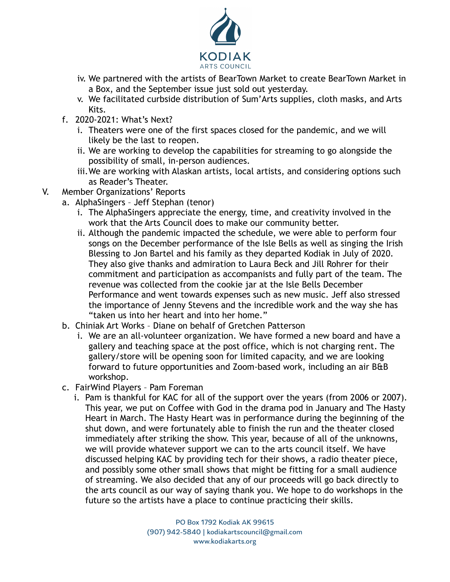

- iv. We partnered with the artists of BearTown Market to create BearTown Market in a Box, and the September issue just sold out yesterday.
- v. We facilitated curbside distribution of Sum'Arts supplies, cloth masks, and Arts Kits.
- f. 2020-2021: What's Next?
	- i. Theaters were one of the first spaces closed for the pandemic, and we will likely be the last to reopen.
	- ii. We are working to develop the capabilities for streaming to go alongside the possibility of small, in-person audiences.
	- iii.We are working with Alaskan artists, local artists, and considering options such as Reader's Theater.
- V. Member Organizations' Reports
	- a. AlphaSingers Jeff Stephan (tenor)
		- i. The AlphaSingers appreciate the energy, time, and creativity involved in the work that the Arts Council does to make our community better.
		- ii. Although the pandemic impacted the schedule, we were able to perform four songs on the December performance of the Isle Bells as well as singing the Irish Blessing to Jon Bartel and his family as they departed Kodiak in July of 2020. They also give thanks and admiration to Laura Beck and Jill Rohrer for their commitment and participation as accompanists and fully part of the team. The revenue was collected from the cookie jar at the Isle Bells December Performance and went towards expenses such as new music. Jeff also stressed the importance of Jenny Stevens and the incredible work and the way she has "taken us into her heart and into her home."
	- b. Chiniak Art Works Diane on behalf of Gretchen Patterson
		- i. We are an all-volunteer organization. We have formed a new board and have a gallery and teaching space at the post office, which is not charging rent. The gallery/store will be opening soon for limited capacity, and we are looking forward to future opportunities and Zoom-based work, including an air B&B workshop.
	- c. FairWind Players Pam Foreman
		- i. Pam is thankful for KAC for all of the support over the years (from 2006 or 2007). This year, we put on Coffee with God in the drama pod in January and The Hasty Heart in March. The Hasty Heart was in performance during the beginning of the shut down, and were fortunately able to finish the run and the theater closed immediately after striking the show. This year, because of all of the unknowns, we will provide whatever support we can to the arts council itself. We have discussed helping KAC by providing tech for their shows, a radio theater piece, and possibly some other small shows that might be fitting for a small audience of streaming. We also decided that any of our proceeds will go back directly to the arts council as our way of saying thank you. We hope to do workshops in the future so the artists have a place to continue practicing their skills.

PO Box 1792 Kodiak AK 99615 (907) 942-5840 | kodiakartscouncil@gmail.com www.kodiakarts.org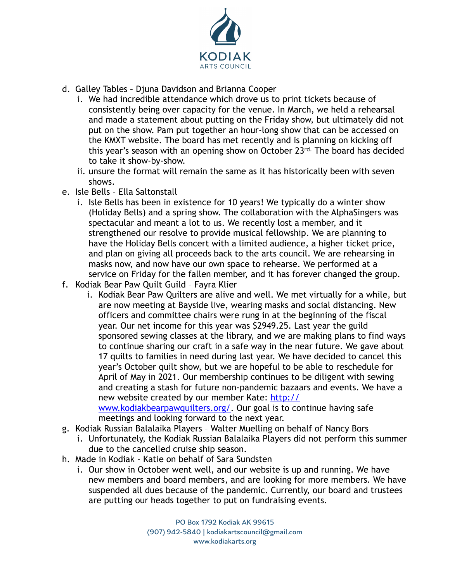

- d. Galley Tables Djuna Davidson and Brianna Cooper
	- i. We had incredible attendance which drove us to print tickets because of consistently being over capacity for the venue. In March, we held a rehearsal and made a statement about putting on the Friday show, but ultimately did not put on the show. Pam put together an hour-long show that can be accessed on the KMXT website. The board has met recently and is planning on kicking off this year's season with an opening show on October 23rd. The board has decided to take it show-by-show.
	- ii. unsure the format will remain the same as it has historically been with seven shows.
- e. Isle Bells Ella Saltonstall
	- i. Isle Bells has been in existence for 10 years! We typically do a winter show (Holiday Bells) and a spring show. The collaboration with the AlphaSingers was spectacular and meant a lot to us. We recently lost a member, and it strengthened our resolve to provide musical fellowship. We are planning to have the Holiday Bells concert with a limited audience, a higher ticket price, and plan on giving all proceeds back to the arts council. We are rehearsing in masks now, and now have our own space to rehearse. We performed at a service on Friday for the fallen member, and it has forever changed the group.
- f. Kodiak Bear Paw Quilt Guild Fayra Klier
	- i. Kodiak Bear Paw Quilters are alive and well. We met virtually for a while, but are now meeting at Bayside live, wearing masks and social distancing. New officers and committee chairs were rung in at the beginning of the fiscal year. Our net income for this year was \$2949.25. Last year the guild sponsored sewing classes at the library, and we are making plans to find ways to continue sharing our craft in a safe way in the near future. We gave about 17 quilts to families in need during last year. We have decided to cancel this year's October quilt show, but we are hopeful to be able to reschedule for April of May in 2021. Our membership continues to be diligent with sewing and creating a stash for future non-pandemic bazaars and events. We have a new website created by our member Kate: [http://](http://www.kodiakbearpawquilters.org/)

[www.kodiakbearpawquilters.org/.](http://www.kodiakbearpawquilters.org/) Our goal is to continue having safe meetings and looking forward to the next year.

- g. Kodiak Russian Balalaika Players Walter Muelling on behalf of Nancy Bors
	- i. Unfortunately, the Kodiak Russian Balalaika Players did not perform this summer due to the cancelled cruise ship season.
- h. Made in Kodiak Katie on behalf of Sara Sundsten
	- i. Our show in October went well, and our website is up and running. We have new members and board members, and are looking for more members. We have suspended all dues because of the pandemic. Currently, our board and trustees are putting our heads together to put on fundraising events.

PO Box 1792 Kodiak AK 99615 (907) 942-5840 | kodiakartscouncil@gmail.com www.kodiakarts.org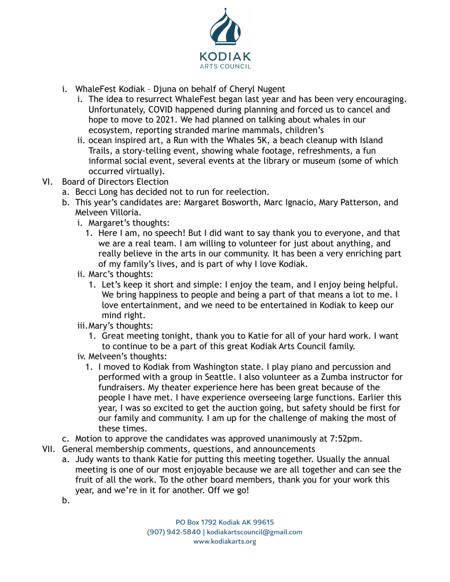

- i. WhaleFest Kodiak Djuna on behalf of Cheryl Nugent
	- i. The idea to resurrect WhaleFest began last year and has been very encouraging. Unfortunately, COVID happened during planning and forced us to cancel and hope to move to 2021. We had planned on talking about whales in our ecosystem, reporting stranded marine mammals, children's
	- ii. ocean inspired art, a Run with the Whales 5K, a beach cleanup with Island Trails, a story-telling event, showing whale footage, refreshments, a fun informal social event, several events at the library or museum (some of which occurred virtually).
- VI. Board of Directors Election
	- a. Becci Long has decided not to run for reelection.
	- b. This year's candidates are: Margaret Bosworth, Marc Ignacio, Mary Patterson, and Melveen Villoria.
		- i. Margaret's thoughts:
			- 1. Here I am, no speech! But I did want to say thank you to everyone, and that we are a real team. I am willing to volunteer for just about anything, and really believe in the arts in our community. It has been a very enriching part of my family's lives, and is part of why I love Kodiak.
		- ii. Marc's thoughts:
			- 1. Let's keep it short and simple: I enjoy the team, and I enjoy being helpful. We bring happiness to people and being a part of that means a lot to me. I love entertainment, and we need to be entertained in Kodiak to keep our mind right.
		- iii.Mary's thoughts:
			- 1. Great meeting tonight, thank you to Katie for all of your hard work. I want to continue to be a part of this great Kodiak Arts Council family.
		- iv. Melveen's thoughts:
			- 1. I moved to Kodiak from Washington state. I play piano and percussion and performed with a group in Seattle. I also volunteer as a Zumba instructor for fundraisers. My theater experience here has been great because of the people I have met. I have experience overseeing large functions. Earlier this year, I was so excited to get the auction going, but safety should be first for our family and community. I am up for the challenge of making the most of these times.
	- c. Motion to approve the candidates was approved unanimously at 7:52pm.
- VII. General membership comments, questions, and announcements
	- a. Judy wants to thank Katie for putting this meeting together. Usually the annual meeting is one of our most enjoyable because we are all together and can see the fruit of all the work. To the other board members, thank you for your work this year, and we're in it for another. Off we go!
	- b.